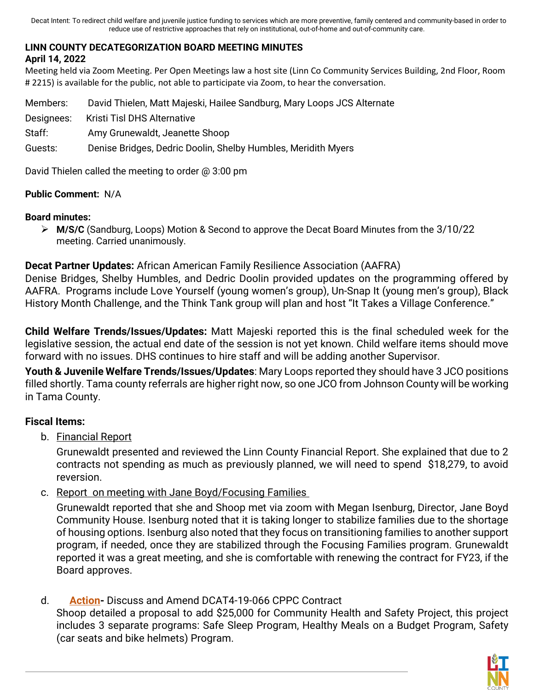Decat Intent: To redirect child welfare and juvenile justice funding to services which are more preventive, family centered and community-based in order to reduce use of restrictive approaches that rely on institutional, out-of-home and out-of-community care.

## **LINN COUNTY DECATEGORIZATION BOARD MEETING MINUTES**

#### **April 14, 2022**

Meeting held via Zoom Meeting. Per Open Meetings law a host site (Linn Co Community Services Building, 2nd Floor, Room # 2215) is available for the public, not able to participate via Zoom, to hear the conversation.

Members: David Thielen, Matt Majeski, Hailee Sandburg, Mary Loops JCS Alternate Designees: Kristi Tisl DHS Alternative Staff: Amy Grunewaldt, Jeanette Shoop Guests: Denise Bridges, Dedric Doolin, Shelby Humbles, Meridith Myers

David Thielen called the meeting to order @ 3:00 pm

#### **Public Comment:** N/A

#### **Board minutes:**

 **M/S/C** (Sandburg, Loops) Motion & Second to approve the Decat Board Minutes from the 3/10/22 meeting. Carried unanimously.

## **Decat Partner Updates:** African American Family Resilience Association (AAFRA)

Denise Bridges, Shelby Humbles, and Dedric Doolin provided updates on the programming offered by AAFRA. Programs include Love Yourself (young women's group), Un-Snap It (young men's group), Black History Month Challenge, and the Think Tank group will plan and host "It Takes a Village Conference."

**Child Welfare Trends/Issues/Updates:** Matt Majeski reported this is the final scheduled week for the legislative session, the actual end date of the session is not yet known. Child welfare items should move forward with no issues. DHS continues to hire staff and will be adding another Supervisor.

**Youth & Juvenile Welfare Trends/Issues/Updates**: Mary Loops reported they should have 3 JCO positions filled shortly. Tama county referrals are higher right now, so one JCO from Johnson County will be working in Tama County.

### **Fiscal Items:**

b. Financial Report

Grunewaldt presented and reviewed the Linn County Financial Report. She explained that due to 2 contracts not spending as much as previously planned, we will need to spend \$18,279, to avoid reversion.

c. Report on meeting with Jane Boyd/Focusing Families

Grunewaldt reported that she and Shoop met via zoom with Megan Isenburg, Director, Jane Boyd Community House. Isenburg noted that it is taking longer to stabilize families due to the shortage of housing options. Isenburg also noted that they focus on transitioning families to another support program, if needed, once they are stabilized through the Focusing Families program. Grunewaldt reported it was a great meeting, and she is comfortable with renewing the contract for FY23, if the Board approves.

## d. **Action-** Discuss and Amend DCAT4-19-066 CPPC Contract

Shoop detailed a proposal to add \$25,000 for Community Health and Safety Project, this project includes 3 separate programs: Safe Sleep Program, Healthy Meals on a Budget Program, Safety (car seats and bike helmets) Program.